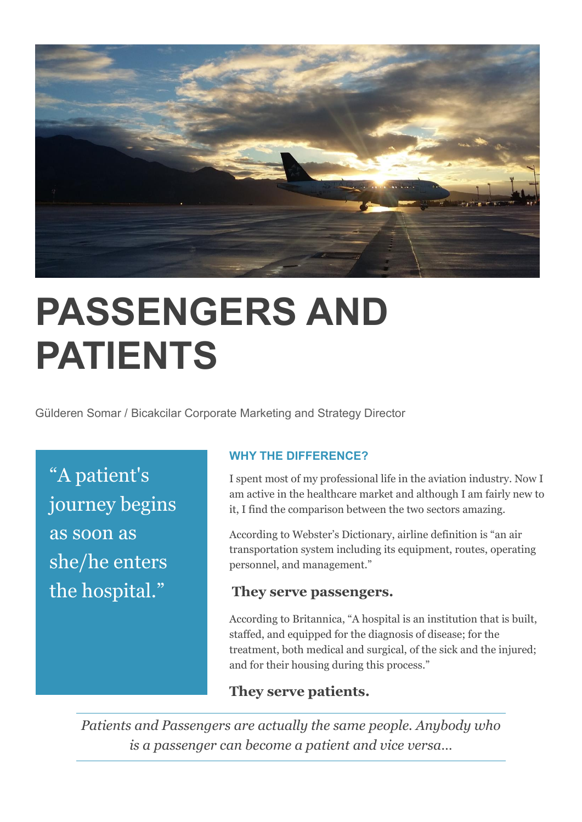

## **PASSENGERS AND PATIENTS**

Gülderen Somar / Bicakcilar Corporate Marketing and Strategy Director

"A patient's journey begins as soon as she/he enters the hospital."

## **WHY THE DIFFERENCE?**

I spent most of my professional life in the aviation industry. Now I am active in the healthcare market and although I am fairly new to it, I find the comparison between the two sectors amazing.

According to Webster's Dictionary, airline definition is "an air transportation system including its equipment, routes, operating personnel, and management."

## **They serve passengers.**

According to Britannica, "A hospital is an institution that is built, staffed, and equipped for the diagnosis of disease; for the treatment, both medical and surgical, of the sick and the injured; and for their housing during this process."

## **They serve patients.**

*Patients and Passengers are actually the same people. Anybody who is a passenger can become a patient and vice versa…*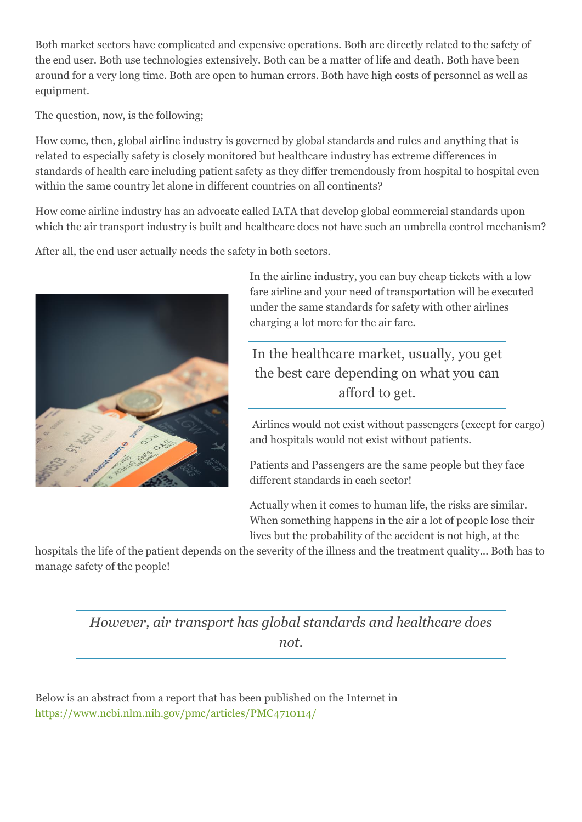Both market sectors have complicated and expensive operations. Both are directly related to the safety of the end user. Both use technologies extensively. Both can be a matter of life and death. Both have been around for a very long time. Both are open to human errors. Both have high costs of personnel as well as equipment.

The question, now, is the following;

How come, then, global airline industry is governed by global standards and rules and anything that is related to especially safety is closely monitored but healthcare industry has extreme differences in standards of health care including patient safety as they differ tremendously from hospital to hospital even within the same country let alone in different countries on all continents?

How come airline industry has an advocate called IATA that develop global commercial standards upon which the air transport industry is built and healthcare does not have such an umbrella control mechanism?

After all, the end user actually needs the safety in both sectors.



In the airline industry, you can buy cheap tickets with a low fare airline and your need of transportation will be executed under the same standards for safety with other airlines charging a lot more for the air fare.

In the healthcare market, usually, you get the best care depending on what you can afford to get.

Airlines would not exist without passengers (except for cargo) and hospitals would not exist without patients.

Patients and Passengers are the same people but they face different standards in each sector!

Actually when it comes to human life, the risks are similar. When something happens in the air a lot of people lose their lives but the probability of the accident is not high, at the

hospitals the life of the patient depends on the severity of the illness and the treatment quality… Both has to manage safety of the people!

> *However, air transport has global standards and healthcare does not.*

Below is an abstract from a report that has been published on the Internet in <https://www.ncbi.nlm.nih.gov/pmc/articles/PMC4710114/>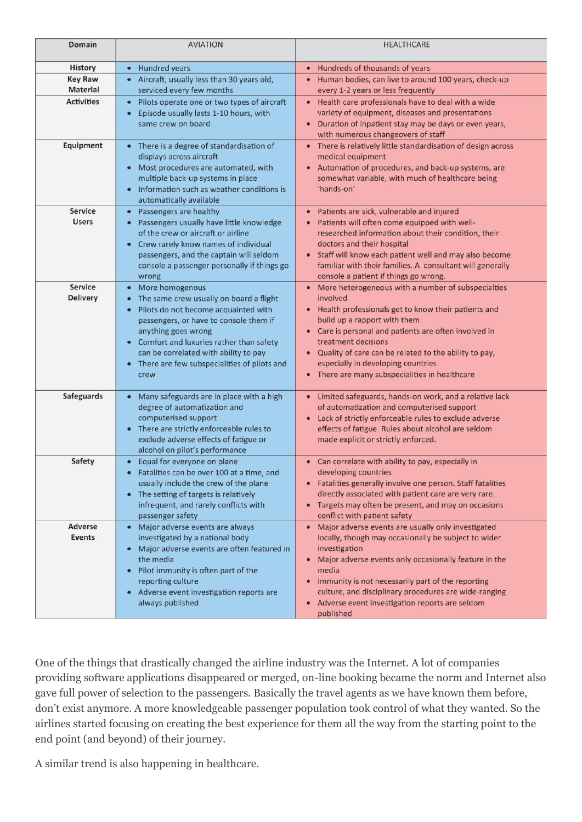| Domain                            | <b>AVIATION</b>                                                                                                                                                                                                                                                                                                | <b>HEALTHCARE</b>                                                                                                                                                                                                                                                                                                                                                                            |
|-----------------------------------|----------------------------------------------------------------------------------------------------------------------------------------------------------------------------------------------------------------------------------------------------------------------------------------------------------------|----------------------------------------------------------------------------------------------------------------------------------------------------------------------------------------------------------------------------------------------------------------------------------------------------------------------------------------------------------------------------------------------|
| <b>History</b>                    | • Hundred years                                                                                                                                                                                                                                                                                                | • Hundreds of thousands of years                                                                                                                                                                                                                                                                                                                                                             |
| <b>Key Raw</b>                    | Aircraft, usually less than 30 years old,                                                                                                                                                                                                                                                                      | • Human bodies, can live to around 100 years, check-up                                                                                                                                                                                                                                                                                                                                       |
| <b>Material</b>                   | serviced every few months                                                                                                                                                                                                                                                                                      | every 1-2 years or less frequently                                                                                                                                                                                                                                                                                                                                                           |
| <b>Activities</b>                 | Pilots operate one or two types of aircraft<br>Episode usually lasts 1-10 hours, with<br>same crew on board                                                                                                                                                                                                    | • Health care professionals have to deal with a wide<br>variety of equipment, diseases and presentations<br>Duration of inpatient stay may be days or even years,<br>with numerous changeovers of staff                                                                                                                                                                                      |
| Equipment                         | • There is a degree of standardisation of<br>displays across aircraft<br>• Most procedures are automated, with<br>multiple back-up systems in place<br>Information such as weather conditions is<br>automatically available                                                                                    | • There is relatively little standardisation of design across<br>medical equipment<br>• Automation of procedures, and back-up systems, are<br>somewhat variable, with much of healthcare being<br>'hands-on'                                                                                                                                                                                 |
| <b>Service</b><br><b>Users</b>    | Passengers are healthy<br>Passengers usually have little knowledge<br>$\bullet$<br>of the crew or aircraft or airline<br>Crew rarely know names of individual<br>$\bullet$<br>passengers, and the captain will seldom<br>console a passenger personally if things go<br>wrong                                  | Patients are sick, vulnerable and injured<br>Patients will often come equipped with well-<br>researched information about their condition, their<br>doctors and their hospital<br>Staff will know each patient well and may also become<br>$\bullet$<br>familiar with their families. A consultant will generally<br>console a patient if things go wrong.                                   |
| <b>Service</b><br><b>Delivery</b> | More homogenous<br>The same crew usually on board a flight<br>Pilots do not become acquainted with<br>passengers, or have to console them if<br>anything goes wrong<br>Comfort and luxuries rather than safety<br>can be correlated with ability to pay<br>There are few subspecialities of pilots and<br>crew | • More heterogeneous with a number of subspecialties<br>involved<br>• Health professionals get to know their patients and<br>build up a rapport with them<br>• Care is personal and patients are often involved in<br>treatment decisions<br>• Quality of care can be related to the ability to pay,<br>especially in developing countries<br>• There are many subspecialities in healthcare |
| <b>Safeguards</b>                 | Many safeguards are in place with a high<br>degree of automatization and<br>computerised support<br>There are strictly enforceable rules to<br>exclude adverse effects of fatigue or<br>alcohol on pilot's performance                                                                                         | • Limited safeguards, hands-on work, and a relative lack<br>of automatization and computerised support<br>Lack of strictly enforceable rules to exclude adverse<br>$\bullet$<br>effects of fatigue. Rules about alcohol are seldom<br>made explicit or strictly enforced.                                                                                                                    |
| Safety                            | Equal for everyone on plane<br>Fatalities can be over 100 at a time, and<br>usually include the crew of the plane<br>The setting of targets is relatively<br>infrequent, and rarely conflicts with<br>passenger safety                                                                                         | • Can correlate with ability to pay, especially in<br>developing countries<br>• Fatalities generally involve one person. Staff fatalities<br>directly associated with patient care are very rare.<br>Targets may often be present, and may on occasions<br>conflict with patient safety                                                                                                      |
| <b>Adverse</b><br><b>Events</b>   | Major adverse events are always<br>$\bullet$<br>investigated by a national body<br>• Major adverse events are often featured in<br>the media<br>Pilot immunity is often part of the<br>٠<br>reporting culture<br>Adverse event investigation reports are<br>٠<br>always published                              | • Major adverse events are usually only investigated<br>locally, though may occasionally be subject to wider<br>investigation<br>• Major adverse events only occasionally feature in the<br>media<br>Immunity is not necessarily part of the reporting<br>culture, and disciplinary procedures are wide-ranging<br>Adverse event investigation reports are seldom<br>$\bullet$<br>published  |

One of the things that drastically changed the airline industry was the Internet. A lot of companies providing software applications disappeared or merged, on-line booking became the norm and Internet also gave full power of selection to the passengers. Basically the travel agents as we have known them before, don't exist anymore. A more knowledgeable passenger population took control of what they wanted. So the airlines started focusing on creating the best experience for them all the way from the starting point to the end point (and beyond) of their journey.

A similar trend is also happening in healthcare.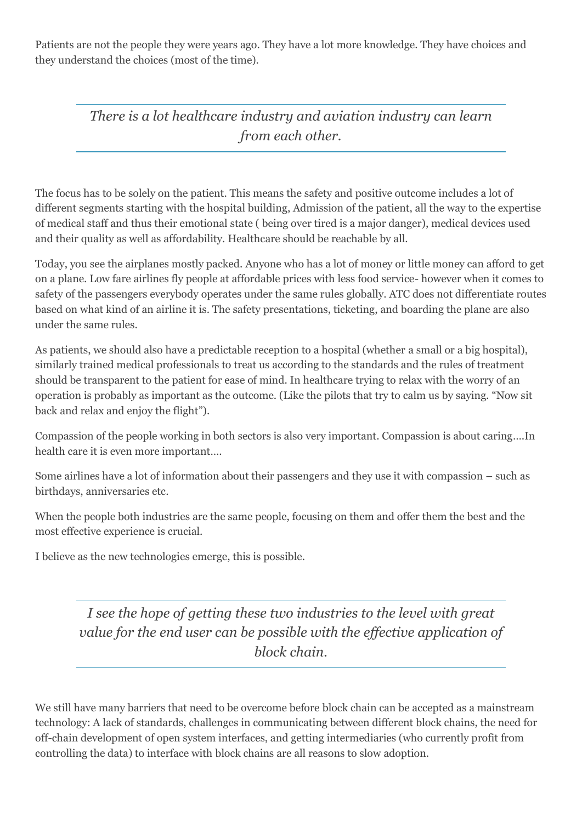Patients are not the people they were years ago. They have a lot more knowledge. They have choices and they understand the choices (most of the time).

> *There is a lot healthcare industry and aviation industry can learn from each other.*

The focus has to be solely on the patient. This means the safety and positive outcome includes a lot of different segments starting with the hospital building, Admission of the patient, all the way to the expertise of medical staff and thus their emotional state ( being over tired is a major danger), medical devices used and their quality as well as affordability. Healthcare should be reachable by all.

Today, you see the airplanes mostly packed. Anyone who has a lot of money or little money can afford to get on a plane. Low fare airlines fly people at affordable prices with less food service- however when it comes to safety of the passengers everybody operates under the same rules globally. ATC does not differentiate routes based on what kind of an airline it is. The safety presentations, ticketing, and boarding the plane are also under the same rules.

As patients, we should also have a predictable reception to a hospital (whether a small or a big hospital), similarly trained medical professionals to treat us according to the standards and the rules of treatment should be transparent to the patient for ease of mind. In healthcare trying to relax with the worry of an operation is probably as important as the outcome. (Like the pilots that try to calm us by saying. "Now sit back and relax and enjoy the flight").

Compassion of the people working in both sectors is also very important. Compassion is about caring….In health care it is even more important….

Some airlines have a lot of information about their passengers and they use it with compassion – such as birthdays, anniversaries etc.

When the people both industries are the same people, focusing on them and offer them the best and the most effective experience is crucial.

I believe as the new technologies emerge, this is possible.

*I see the hope of getting these two industries to the level with great value for the end user can be possible with the effective application of block chain.*

We still have many barriers that need to be overcome before block chain can be accepted as a mainstream technology: A lack of standards, challenges in communicating between different block chains, the need for off-chain development of open system interfaces, and getting intermediaries (who currently profit from controlling the data) to interface with block chains are all reasons to slow adoption.